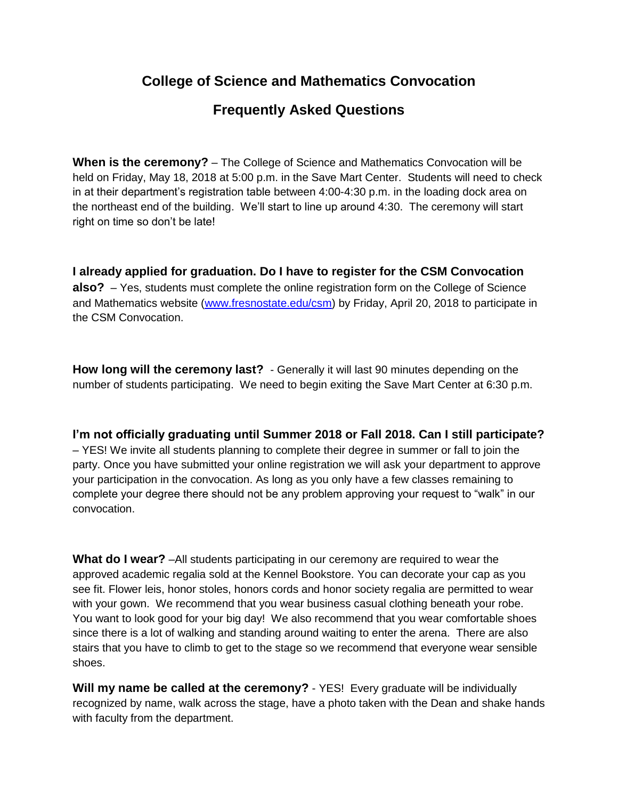## **College of Science and Mathematics Convocation**

## **Frequently Asked Questions**

**When is the ceremony?** – The College of Science and Mathematics Convocation will be held on Friday, May 18, 2018 at 5:00 p.m. in the Save Mart Center. Students will need to check in at their department's registration table between 4:00-4:30 p.m. in the loading dock area on the northeast end of the building. We'll start to line up around 4:30. The ceremony will start right on time so don't be late!

**I already applied for graduation. Do I have to register for the CSM Convocation also?** – Yes, students must complete the online registration form on the College of Science and Mathematics website [\(www.fresnostate.edu/csm\)](http://www.fresnostate.edu/csm) by Friday, April 20, 2018 to participate in the CSM Convocation.

**How long will the ceremony last?** - Generally it will last 90 minutes depending on the number of students participating. We need to begin exiting the Save Mart Center at 6:30 p.m.

**I'm not officially graduating until Summer 2018 or Fall 2018. Can I still participate?** – YES! We invite all students planning to complete their degree in summer or fall to join the party. Once you have submitted your online registration we will ask your department to approve your participation in the convocation. As long as you only have a few classes remaining to complete your degree there should not be any problem approving your request to "walk" in our convocation.

**What do I wear?** –All students participating in our ceremony are required to wear the approved academic regalia sold at the Kennel Bookstore. You can decorate your cap as you see fit. Flower leis, honor stoles, honors cords and honor society regalia are permitted to wear with your gown. We recommend that you wear business casual clothing beneath your robe. You want to look good for your big day! We also recommend that you wear comfortable shoes since there is a lot of walking and standing around waiting to enter the arena. There are also stairs that you have to climb to get to the stage so we recommend that everyone wear sensible shoes.

**Will my name be called at the ceremony?** - YES! Every graduate will be individually recognized by name, walk across the stage, have a photo taken with the Dean and shake hands with faculty from the department.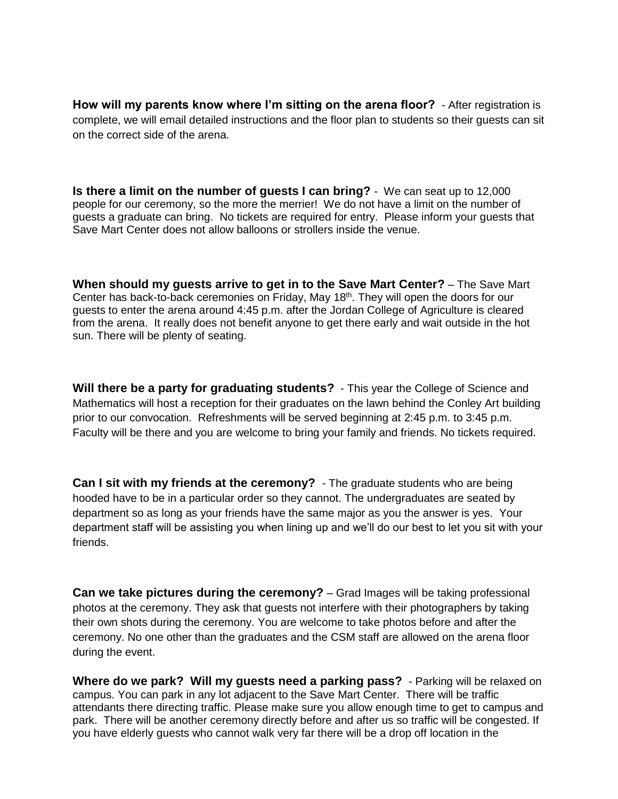**How will my parents know where I'm sitting on the arena floor?** - After registration is complete, we will email detailed instructions and the floor plan to students so their guests can sit on the correct side of the arena.

**Is there a limit on the number of guests I can bring?** - We can seat up to 12,000 people for our ceremony, so the more the merrier! We do not have a limit on the number of guests a graduate can bring. No tickets are required for entry. Please inform your guests that Save Mart Center does not allow balloons or strollers inside the venue.

**When should my guests arrive to get in to the Save Mart Center?** – The Save Mart Center has back-to-back ceremonies on Friday, May 18<sup>th</sup>. They will open the doors for our guests to enter the arena around 4:45 p.m. after the Jordan College of Agriculture is cleared from the arena. It really does not benefit anyone to get there early and wait outside in the hot sun. There will be plenty of seating.

**Will there be a party for graduating students?** - This year the College of Science and Mathematics will host a reception for their graduates on the lawn behind the Conley Art building prior to our convocation. Refreshments will be served beginning at 2:45 p.m. to 3:45 p.m. Faculty will be there and you are welcome to bring your family and friends. No tickets required.

**Can I sit with my friends at the ceremony?** - The graduate students who are being hooded have to be in a particular order so they cannot. The undergraduates are seated by department so as long as your friends have the same major as you the answer is yes. Your department staff will be assisting you when lining up and we'll do our best to let you sit with your friends.

**Can we take pictures during the ceremony?** – Grad Images will be taking professional photos at the ceremony. They ask that guests not interfere with their photographers by taking their own shots during the ceremony. You are welcome to take photos before and after the ceremony. No one other than the graduates and the CSM staff are allowed on the arena floor during the event.

**Where do we park? Will my guests need a parking pass?** - Parking will be relaxed on campus. You can park in any lot adjacent to the Save Mart Center. There will be traffic attendants there directing traffic. Please make sure you allow enough time to get to campus and park. There will be another ceremony directly before and after us so traffic will be congested. If you have elderly guests who cannot walk very far there will be a drop off location in the